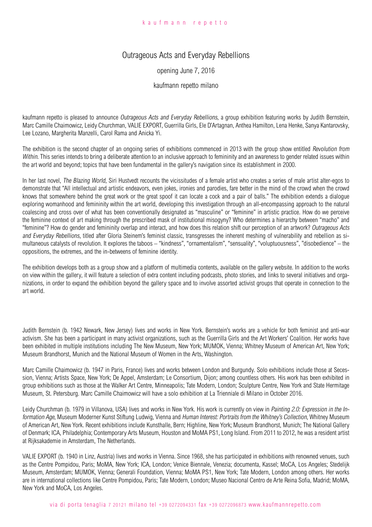## Outrageous Acts and Everyday Rebellions

## opening June 7, 2016

## kaufmann repetto milano

kaufmann repetto is pleased to announce *Outrageous Acts and Everyday Rebellions*, a group exhibition featuring works by Judith Bernstein, Marc Camille Chaimowicz, Leidy Churchman, VALIE EXPORT, Guerrilla Girls, Ele D'Artagnan, Anthea Hamilton, Lena Henke, Sanya Kantarovsky, Lee Lozano, Margherita Manzelli, Carol Rama and Anicka Yi.

The exhibition is the second chapter of an ongoing series of exhibitions commenced in 2013 with the group show entitled Revolution from Within. This series intends to bring a deliberate attention to an inclusive approach to femininity and an awareness to gender related issues within the art world and beyond; topics that have been fundamental in the gallery's navigation since its establishment in 2000.

In her last novel, The Blazing World, Siri Hustvedt recounts the vicissitudes of a female artist who creates a series of male artist alter-egos to demonstrate that "All intellectual and artistic endeavors, even jokes, ironies and parodies, fare better in the mind of the crowd when the crowd knows that somewhere behind the great work or the great spoof it can locate a cock and a pair of balls." The exhibition extends a dialogue exploring womanhood and femininity within the art world, developing this investigation through an all-encompassing approach to the natural coalescing and cross over of what has been conventionally designated as "masculine" or "feminine" in artistic practice. How do we perceive the feminine context of art making through the prescribed mask of institutional misogyny? Who determines a hierarchy between "macho" and "feminine"? How do gender and femininity overlap and interact, and how does this relation shift our perception of an artwork? Outrageous Acts and Everyday Rebellions, titled after Gloria Steinem's feminist classic, transgresses the inherent meshing of vulnerability and rebellion as simultaneous catalysts of revolution. It explores the taboos – "kindness", "ornamentalism", "sensuality", "voluptuousness", "disobedience" – the oppositions, the extremes, and the in-betweens of feminine identity.

The exhibition develops both as a group show and a platform of multimedia contents, available on the gallery website. In addition to the works on view within the gallery, it will feature a selection of extra content including podcasts, photo stories, and links to several initiatives and organizations, in order to expand the exhibition beyond the gallery space and to involve assorted activist groups that operate in connection to the art world.

Judith Bernstein (b. 1942 Newark, New Jersey) lives and works in New York. Bernstein's works are a vehicle for both feminist and anti-war activism. She has been a participant in many activist organizations, such as the Guerrilla Girls and the Art Workers' Coalition. Her works have been exhibited in multiple institutions including The New Museum, New York; MUMOK, Vienna; Whitney Museum of American Art, New York; Museum Brandhorst, Munich and the National Museum of Women in the Arts, Washington.

Marc Camille Chaimowicz (b. 1947 in Paris, France) lives and works between London and Burgundy. Solo exhibitions include those at Secession, Vienna; Artists Space, New York; De Appel, Amsterdam; Le Consortium, Dijon; among countless others. His work has been exhibited in group exhibitions such as those at the Walker Art Centre, Minneapolis; Tate Modern, London; Sculpture Centre, New York and State Hermitage Museum, St. Petersburg. Marc Camille Chaimowicz will have a solo exhibition at La Trienniale di Milano in October 2016.

Leidy Churchman (b. 1979 in Villanova, USA) lives and works in New York. His work is currently on view in Painting 2.0: Expression in the Information Age, Museum Moderner Kunst Stiftung Ludwig, Vienna and Human Interest: Portraits from the Whitney's Collection, Whitney Museum of American Art, New York. Recent exhibitions include Kunsthalle, Bern; Highline, New York; Museum Brandhorst, Munich; The National Gallery of Denmark; ICA, Philadelphia; Contemporary Arts Museum, Houston and MoMA PS1, Long Island. From 2011 to 2012, he was a resident artist at Rijksakademie in Amsterdam, The Netherlands.

VALIE EXPORT (b. 1940 in Linz, Austria) lives and works in Vienna. Since 1968, she has participated in exhibitions with renowned venues, such as the Centre Pompidou, Paris; MoMA, New York; ICA, London; Venice Biennale, Venezia; documenta, Kassel; MoCA, Los Angeles; Stedelijk Museum, Amsterdam; MUMOK, Vienna; Generali Foundation, Vienna; MoMA PS1, New York; Tate Modern, London among others. Her works are in international collections like Centre Pompidou, Paris; Tate Modern, London; Museo Nacional Centro de Arte Reina Sofia, Madrid; MoMA, New York and MoCA, Los Angeles.